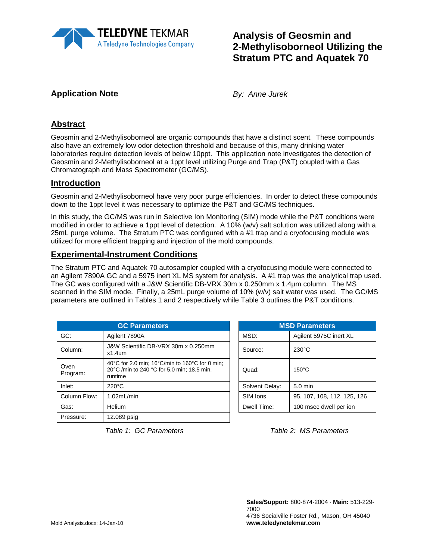

# **Analysis of Geosmin and 2-Methylisoborneol Utilizing the Stratum PTC and Aquatek 70**

# **Application Note** *By: Anne Jurek*

# **Abstract**

Geosmin and 2-Methylisoborneol are organic compounds that have a distinct scent. These compounds also have an extremely low odor detection threshold and because of this, many drinking water laboratories require detection levels of below 10ppt. This application note investigates the detection of Geosmin and 2-Methylisoborneol at a 1ppt level utilizing Purge and Trap (P&T) coupled with a Gas Chromatograph and Mass Spectrometer (GC/MS).

### **Introduction**

Geosmin and 2-Methylisoborneol have very poor purge efficiencies. In order to detect these compounds down to the 1ppt level it was necessary to optimize the P&T and GC/MS techniques.

In this study, the GC/MS was run in Selective Ion Monitoring (SIM) mode while the P&T conditions were modified in order to achieve a 1ppt level of detection. A 10% (w/v) salt solution was utilized along with a 25mL purge volume. The Stratum PTC was configured with a #1 trap and a cryofocusing module was utilized for more efficient trapping and injection of the mold compounds.

### **Experimental-Instrument Conditions**

The Stratum PTC and Aquatek 70 autosampler coupled with a cryofocusing module were connected to an Agilent 7890A GC and a 5975 inert XL MS system for analysis. A #1 trap was the analytical trap used. The GC was configured with a J&W Scientific DB-VRX 30m x 0.250mm x 1.4µm column. The MS scanned in the SIM mode. Finally, a 25mL purge volume of 10% (w/v) salt water was used. The GC/MS parameters are outlined in Tables 1 and 2 respectively while Table 3 outlines the P&T conditions.

| <b>GC Parameters</b> |                                                                                                         |  | <b>MSD Parameters</b> |                             |  |  |
|----------------------|---------------------------------------------------------------------------------------------------------|--|-----------------------|-----------------------------|--|--|
| GC:                  | Agilent 7890A                                                                                           |  | MSD:                  | Agilent 5975C inert XL      |  |  |
| Column:              | J&W Scientific DB-VRX 30m x 0.250mm<br>$x1.4$ um                                                        |  | Source:               | $230^{\circ}$ C             |  |  |
| Oven<br>Program:     | 40°C for 2.0 min; 16°C/min to 160°C for 0 min;<br>20°C /min to 240 °C for 5.0 min; 18.5 min.<br>runtime |  | Quad:                 | $150^{\circ}$ C             |  |  |
| Inlet:               | $220^{\circ}$ C                                                                                         |  | Solvent Delay:        | $5.0$ min                   |  |  |
| Column Flow:         | 1.02mL/min                                                                                              |  | SIM Ions              | 95, 107, 108, 112, 125, 126 |  |  |
| Gas:                 | Helium                                                                                                  |  | Dwell Time:           | 100 msec dwell per ion      |  |  |
| Pressure:            | 12.089 psig                                                                                             |  |                       |                             |  |  |

| <b>MSD Parameters</b> |                             |  |  |  |
|-----------------------|-----------------------------|--|--|--|
| MSD:                  | Agilent 5975C inert XL      |  |  |  |
| Source:               | $230^{\circ}$ C             |  |  |  |
| Quad:                 | $150^{\circ}$ C             |  |  |  |
| Solvent Delay:        | $5.0 \text{ min}$           |  |  |  |
| SIM Ions              | 95, 107, 108, 112, 125, 126 |  |  |  |
| Dwell Time:           | 100 msec dwell per ion      |  |  |  |

 *Table 1: GC Parameters Table 2: MS Parameters*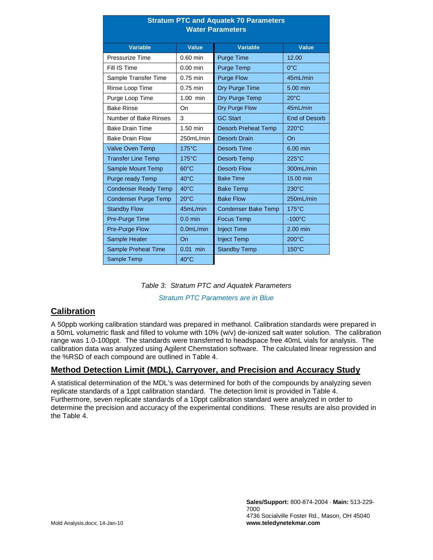| <b>Stratum PTC and Aquatek 70 Parameters</b><br><b>Water Parameters</b> |                 |                            |                      |  |  |
|-------------------------------------------------------------------------|-----------------|----------------------------|----------------------|--|--|
| <b>Variable</b>                                                         | <b>Value</b>    | <b>Variable</b>            | <b>Value</b>         |  |  |
| Pressurize Time                                                         | $0.60$ min      | Purge Time                 | 12.00                |  |  |
| Fill IS Time                                                            | $0.00$ min      | Purge Temp                 | $0^{\circ}$ C        |  |  |
| Sample Transfer Time                                                    | 0.75 min        | <b>Purge Flow</b>          | 45mL/min             |  |  |
| Rinse Loop Time                                                         | $0.75$ min      | Dry Purge Time             | 5.00 min             |  |  |
| Purge Loop Time                                                         | $1.00$ min      | Dry Purge Temp             | $20^{\circ}$ C       |  |  |
| <b>Bake Rinse</b>                                                       | On              | Dry Purge Flow             | 45mL/min             |  |  |
| Number of Bake Rinses                                                   | 3               | <b>GC Start</b>            | <b>End of Desorb</b> |  |  |
| <b>Bake Drain Time</b>                                                  | $1.50$ min      | <b>Desorb Preheat Temp</b> | 220°C                |  |  |
| <b>Bake Drain Flow</b>                                                  | 250mL/min       | Desorb Drain               | On                   |  |  |
| <b>Valve Oven Temp</b>                                                  | $175^{\circ}$ C | <b>Desorb Time</b>         | 6.00 min             |  |  |
| <b>Transfer Line Temp</b>                                               | $175^{\circ}$ C | Desorb Temp                | $225^{\circ}$ C      |  |  |
| Sample Mount Temp                                                       | $60^{\circ}$ C  | <b>Desorb Flow</b>         | 300mL/min            |  |  |
| Purge ready Temp                                                        | $40^{\circ}$ C  | <b>Bake Time</b>           | 15.00 min            |  |  |
| <b>Condenser Ready Temp</b>                                             | $40^{\circ}$ C  | <b>Bake Temp</b>           | $230^{\circ}$ C      |  |  |
| <b>Condenser Purge Temp</b>                                             | $20^{\circ}$ C  | <b>Bake Flow</b>           | 250mL/min            |  |  |
| <b>Standby Flow</b>                                                     | 45mL/min        | <b>Condenser Bake Temp</b> | $175^{\circ}$ C      |  |  |
| Pre-Purge Time                                                          | $0.0$ min       | <b>Focus Temp</b>          | $-100^{\circ}$ C     |  |  |
| <b>Pre-Purge Flow</b>                                                   | $0.0$ mL/min    | <b>Inject Time</b>         | 2.00 min             |  |  |
| Sample Heater                                                           | On              | <b>Inject Temp</b>         | 200°C                |  |  |
| Sample Preheat Time                                                     | $0.01$ min      | <b>Standby Temp</b>        | $150^{\circ}$ C      |  |  |
| Sample Temp                                                             | $40^{\circ}$ C  |                            |                      |  |  |

|  |  | Table 3: Stratum PTC and Aquatek Parameters |
|--|--|---------------------------------------------|
|  |  |                                             |

*Stratum PTC Parameters are in Blue*

#### **Calibration**

A 50ppb working calibration standard was prepared in methanol. Calibration standards were prepared in a 50mL volumetric flask and filled to volume with 10% (w/v) de-ionized salt water solution. The calibration range was 1.0-100ppt. The standards were transferred to headspace free 40mL vials for analysis. The calibration data was analyzed using Agilent Chemstation software. The calculated linear regression and the %RSD of each compound are outlined in Table 4.

# **Method Detection Limit (MDL), Carryover, and Precision and Accuracy Study**

A statistical determination of the MDL's was determined for both of the compounds by analyzing seven replicate standards of a 1ppt calibration standard. The detection limit is provided in Table 4. Furthermore, seven replicate standards of a 10ppt calibration standard were analyzed in order to determine the precision and accuracy of the experimental conditions. These results are also provided in the Table 4.